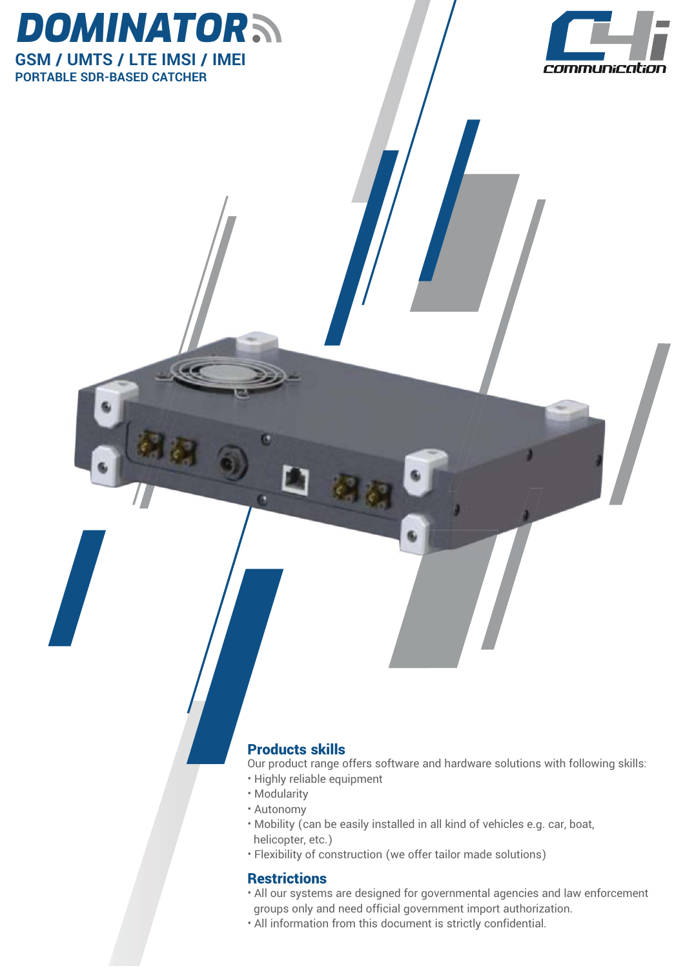



### Products skills

Our product range offers software and hardware solutions with following skills:

- Highly reliable equipment
- Modularity
- Autonomy
- Mobility (can be easily installed in all kind of vehicles e.g. car, boat, helicopter, etc.)
- Flexibility of construction (we offer tailor made solutions)

## **Restrictions**

- All our systems are designed for governmental agencies and law enforcement groups only and need official government import authorization.
- All information from this document is strictly confidential.